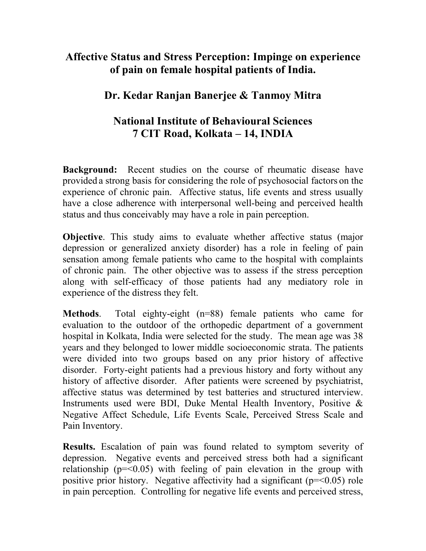## **Affective Status and Stress Perception: Impinge on experience of pain on female hospital patients of India.**

## **Dr. Kedar Ranjan Banerjee & Tanmoy Mitra**

## **National Institute of Behavioural Sciences 7 CIT Road, Kolkata – 14, INDIA**

**Background:** Recent studies on the course of rheumatic disease have provided a strong basis for considering the role of psychosocial factors on the experience of chronic pain. Affective status, life events and stress usually have a close adherence with interpersonal well-being and perceived health status and thus conceivably may have a role in pain perception.

**Objective**. This study aims to evaluate whether affective status (major depression or generalized anxiety disorder) has a role in feeling of pain sensation among female patients who came to the hospital with complaints of chronic pain. The other objective was to assess if the stress perception along with self-efficacy of those patients had any mediatory role in experience of the distress they felt.

**Methods**. Total eighty-eight (n=88) female patients who came for evaluation to the outdoor of the orthopedic department of a government hospital in Kolkata, India were selected for the study. The mean age was 38 years and they belonged to lower middle socioeconomic strata. The patients were divided into two groups based on any prior history of affective disorder. Forty-eight patients had a previous history and forty without any history of affective disorder. After patients were screened by psychiatrist, affective status was determined by test batteries and structured interview. Instruments used were BDI, Duke Mental Health Inventory, Positive & Negative Affect Schedule, Life Events Scale, Perceived Stress Scale and Pain Inventory.

**Results.** Escalation of pain was found related to symptom severity of depression. Negative events and perceived stress both had a significant relationship ( $p = 0.05$ ) with feeling of pain elevation in the group with positive prior history. Negative affectivity had a significant ( $p = 0.05$ ) role in pain perception. Controlling for negative life events and perceived stress,